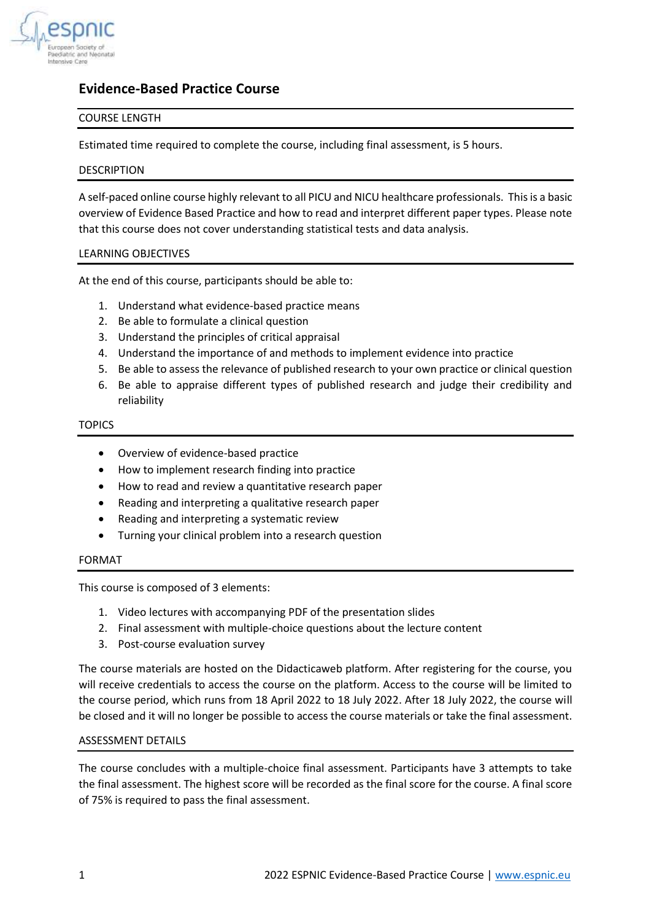

# **Evidence-Based Practice Course**

# COURSE LENGTH

Estimated time required to complete the course, including final assessment, is 5 hours.

# DESCRIPTION

A self-paced online course highly relevant to all PICU and NICU healthcare professionals. This is a basic overview of Evidence Based Practice and how to read and interpret different paper types. Please note that this course does not cover understanding statistical tests and data analysis.

# LEARNING OBJECTIVES

At the end of this course, participants should be able to:

- 1. Understand what evidence-based practice means
- 2. Be able to formulate a clinical question
- 3. Understand the principles of critical appraisal
- 4. Understand the importance of and methods to implement evidence into practice
- 5. Be able to assess the relevance of published research to your own practice or clinical question
- 6. Be able to appraise different types of published research and judge their credibility and reliability

## TOPICS

- Overview of evidence-based practice
- How to implement research finding into practice
- How to read and review a quantitative research paper
- Reading and interpreting a qualitative research paper
- Reading and interpreting a systematic review
- Turning your clinical problem into a research question

## FORMAT

This course is composed of 3 elements:

- 1. Video lectures with accompanying PDF of the presentation slides
- 2. Final assessment with multiple-choice questions about the lecture content
- 3. Post-course evaluation survey

The course materials are hosted on the Didacticaweb platform. After registering for the course, you will receive credentials to access the course on the platform. Access to the course will be limited to the course period, which runs from 18 April 2022 to 18 July 2022. After 18 July 2022, the course will be closed and it will no longer be possible to access the course materials or take the final assessment.

# ASSESSMENT DETAILS

The course concludes with a multiple-choice final assessment. Participants have 3 attempts to take the final assessment. The highest score will be recorded as the final score for the course. A final score of 75% is required to pass the final assessment.